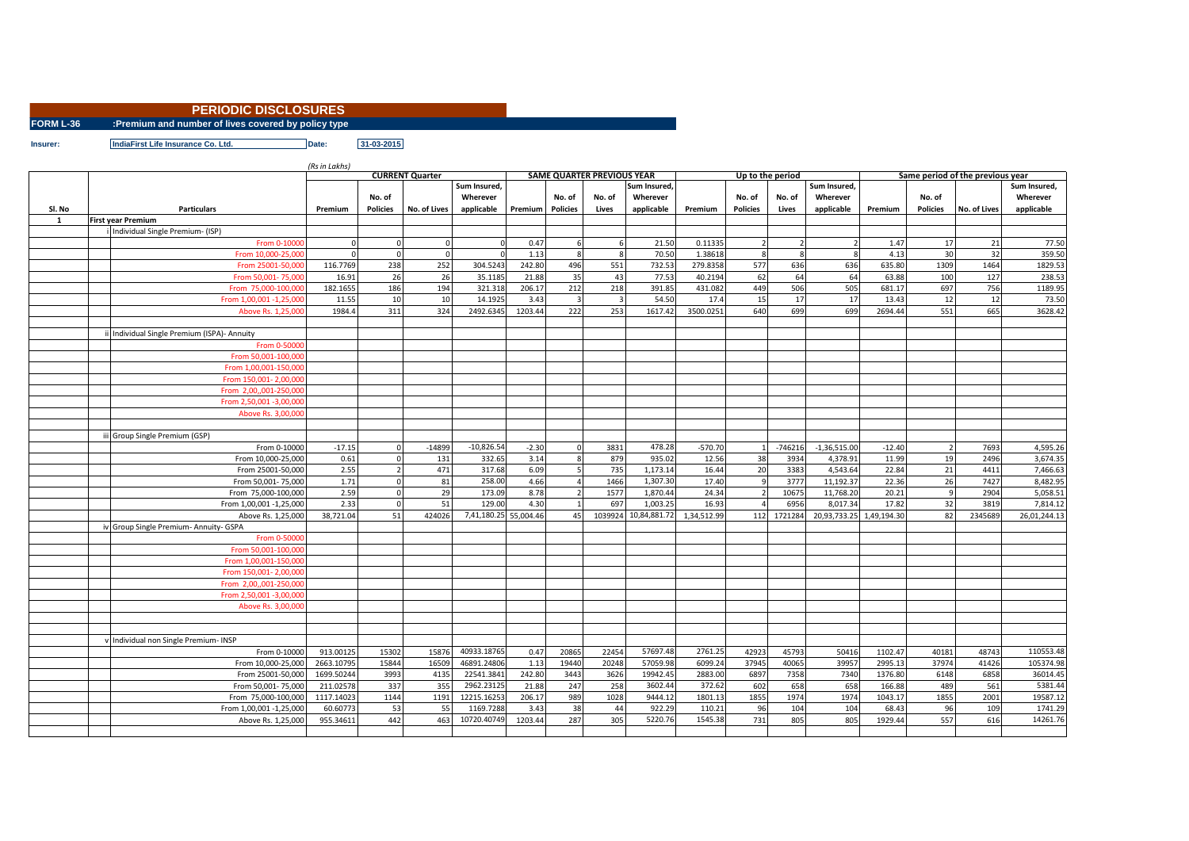## **PERIODIC DISCLOSURES**

**FORM L-36 :Premium and number of lives covered by policy type**

**Insurer: IndiaFirst Life Insurance Co. Ltd. Date: 31-03-2015**

|        |                                           | (Rs in Lakhs) |                 |                        |                       |         |                         |                                   |              |             |                  |              |                          |          |                                  |              |              |
|--------|-------------------------------------------|---------------|-----------------|------------------------|-----------------------|---------|-------------------------|-----------------------------------|--------------|-------------|------------------|--------------|--------------------------|----------|----------------------------------|--------------|--------------|
|        |                                           |               |                 | <b>CURRENT Quarter</b> | Sum Insured,          |         |                         | <b>SAME QUARTER PREVIOUS YEAR</b> | Sum Insured. |             | Up to the period |              | Sum Insured,             |          | Same period of the previous year |              | Sum Insured. |
|        |                                           |               | No. of          |                        | Wherever              |         | No. of                  | No. of                            | Wherever     |             | No. of           | No. of       | Wherever                 |          | No. of                           |              | Wherever     |
|        |                                           |               |                 |                        |                       |         |                         |                                   |              |             |                  |              |                          |          |                                  |              |              |
| SI. No | <b>Particulars</b>                        | Premium       | <b>Policies</b> | No. of Lives           | applicable            | Premium | <b>Policies</b>         | Lives                             | applicable   | Premium     | <b>Policies</b>  | Lives        | applicable               | Premium  | <b>Policies</b>                  | No. of Lives | applicable   |
| 1      | First year Premium                        |               |                 |                        |                       |         |                         |                                   |              |             |                  |              |                          |          |                                  |              |              |
|        | Individual Single Premium- (ISP)          |               |                 |                        |                       |         |                         |                                   |              |             |                  |              |                          |          |                                  |              |              |
|        | From 0-1000                               |               | $\Omega$        | $\Omega$               |                       | 0.47    |                         |                                   | 21.50        | 0.11335     |                  |              |                          | 1.47     | 17                               | 21           | 77.50        |
|        | From 10,000-25,00                         |               | $\overline{0}$  | $\mathbf{0}$           |                       | 1.13    | $\mathbf{8}$            | $\mathbf{g}$                      | 70.50        | 1.38618     |                  | $\mathbf{8}$ | R                        | 4.13     | 30                               | 32           | 359.50       |
|        | From 25001-50,00                          | 116.7769      | 238             | 252                    | 304.5243              | 242.80  | 496                     | 551                               | 732.53       | 279.8358    | 577              | 636          | 636                      | 635.80   | 1309                             | 1464         | 1829.53      |
|        | From 50.001-75.00                         | 16.91         | 26              | 26                     | 35.1185               | 21.88   | 35                      | 43                                | 77.53        | 40.2194     | 62               | 64           | 64                       | 63.88    | 100                              | 127          | 238.53       |
|        | From 75,000-100,00                        | 182.1655      | 186             | 194                    | 321.318               | 206.17  | 212                     | 218                               | 391.85       | 431.082     | 449              | 506          | 505                      | 681.17   | 697                              | 756          | 1189.95      |
|        | From 1,00,001 -1,25,00                    | 11.55         | 10              | 10                     | 14.1925               | 3.43    | $\overline{\mathbf{3}}$ | $\overline{\mathbf{3}}$           | 54.50        | 17.4        | 15               | 17           | 17                       | 13.43    | 12                               | 12           | 73.50        |
|        | Above Rs. 1,25,00                         | 1984.4        | 311             | 324                    | 2492.6345             | 1203.44 | 222                     | 253                               | 1617.4       | 3500.0251   | 640              | 699          | 699                      | 2694.44  | 551                              | 665          | 3628.42      |
|        |                                           |               |                 |                        |                       |         |                         |                                   |              |             |                  |              |                          |          |                                  |              |              |
|        | Individual Single Premium (ISPA)- Annuity |               |                 |                        |                       |         |                         |                                   |              |             |                  |              |                          |          |                                  |              |              |
|        | From 0-5000                               |               |                 |                        |                       |         |                         |                                   |              |             |                  |              |                          |          |                                  |              |              |
|        | From 50,001-100,00                        |               |                 |                        |                       |         |                         |                                   |              |             |                  |              |                          |          |                                  |              |              |
|        | From 1.00.001-150.00                      |               |                 |                        |                       |         |                         |                                   |              |             |                  |              |                          |          |                                  |              |              |
|        | From 150,001-2,00,00                      |               |                 |                        |                       |         |                         |                                   |              |             |                  |              |                          |          |                                  |              |              |
|        | From 2,00,,001-250,000                    |               |                 |                        |                       |         |                         |                                   |              |             |                  |              |                          |          |                                  |              |              |
|        | From 2,50,001 -3,00,000                   |               |                 |                        |                       |         |                         |                                   |              |             |                  |              |                          |          |                                  |              |              |
|        | Above Rs. 3,00,00                         |               |                 |                        |                       |         |                         |                                   |              |             |                  |              |                          |          |                                  |              |              |
|        |                                           |               |                 |                        |                       |         |                         |                                   |              |             |                  |              |                          |          |                                  |              |              |
|        | Group Single Premium (GSP)                |               |                 |                        |                       |         |                         |                                   |              |             |                  |              |                          |          |                                  |              |              |
|        | From 0-10000                              | $-17.15$      | $\Omega$        | $-14899$               | $-10,826.5$           | $-2.30$ |                         | 3831                              | 478.28       | $-570.70$   |                  | $-746216$    | $-1,36,515.00$           | $-12.40$ |                                  | 7693         | 4,595.26     |
|        | From 10.000-25.000                        | 0.61          | $\Omega$        | 131                    | 332.65                | 3.14    |                         | 879                               | 935.02       | 12.56       | 38               | 3934         | 4,378.91                 | 11.99    | 19                               | 2496         | 3,674.35     |
|        | From 25001-50,000                         | 2.55          | $\overline{2}$  | 471                    | 317.68                | 6.09    | 5                       | 735                               | 1,173.14     | 16.44       | 20               | 3383         | 4,543.64                 | 22.84    | 21                               | 4411         | 7,466.63     |
|        | From 50,001-75,000                        | 1.71          | $\mathbf 0$     | 81                     | 258.00                | 4.66    |                         | 1466                              | 1,307.30     | 17.40       |                  | 3777         | 11,192.37                | 22.36    | 26                               | 7427         | 8,482.95     |
|        | From 75,000-100,000                       | 2.59          | $\mathbf 0$     | 29                     | 173.09                | 8.78    |                         | 1577                              | 1,870.4      | 24.34       |                  | 10675        | 11,768.20                | 20.21    | $\mathbf{q}$                     | 2904         | 5,058.51     |
|        | From 1,00,001 -1,25,000                   | 2.33          | $\mathbf 0$     | 51                     | 129.00                | 4.30    |                         | 697                               | 1,003.25     | 16.93       |                  | 6956         | 8,017.34                 | 17.82    | 32                               | 3819         | 7,814.12     |
|        | Above Rs. 1,25,000                        | 38,721.04     | 51              | 424026                 | 7,41,180.25 55,004.46 |         | 45                      | 1039924                           | 10,84,881.72 | 1,34,512.99 | 112              | 1721284      | 20,93,733.25 1,49,194.30 |          | 82                               | 2345689      | 26,01,244.13 |
|        | iv Group Single Premium- Annuity- GSPA    |               |                 |                        |                       |         |                         |                                   |              |             |                  |              |                          |          |                                  |              |              |
|        | From 0-5000                               |               |                 |                        |                       |         |                         |                                   |              |             |                  |              |                          |          |                                  |              |              |
|        | From 50,001-100,00                        |               |                 |                        |                       |         |                         |                                   |              |             |                  |              |                          |          |                                  |              |              |
|        | From 1.00.001-150.00                      |               |                 |                        |                       |         |                         |                                   |              |             |                  |              |                          |          |                                  |              |              |
|        | From 150,001-2,00,00                      |               |                 |                        |                       |         |                         |                                   |              |             |                  |              |                          |          |                                  |              |              |
|        | From 2.00001-250.00                       |               |                 |                        |                       |         |                         |                                   |              |             |                  |              |                          |          |                                  |              |              |
|        | From 2.50.001 -3.00.00                    |               |                 |                        |                       |         |                         |                                   |              |             |                  |              |                          |          |                                  |              |              |
|        |                                           |               |                 |                        |                       |         |                         |                                   |              |             |                  |              |                          |          |                                  |              |              |
|        | Above Rs. 3,00,000                        |               |                 |                        |                       |         |                         |                                   |              |             |                  |              |                          |          |                                  |              |              |
|        |                                           |               |                 |                        |                       |         |                         |                                   |              |             |                  |              |                          |          |                                  |              |              |
|        |                                           |               |                 |                        |                       |         |                         |                                   |              |             |                  |              |                          |          |                                  |              |              |
|        | v Individual non Single Premium- INSP     |               |                 |                        |                       |         |                         |                                   |              |             |                  |              |                          |          |                                  |              |              |
|        | From 0-10000                              | 913.00125     | 15302           | 15876                  | 40933.18765           | 0.47    | 20865                   | 22454                             | 57697.48     | 2761.25     | 42923            | 45793        | 50416                    | 1102.47  | 40181                            | 48743        | 110553.48    |
|        | From 10,000-25,000                        | 2663.10795    | 15844           | 16509                  | 46891.24806           | 1.13    | 19440                   | 20248                             | 57059.98     | 6099.24     | 37945            | 40065        | 39957                    | 2995.13  | 37974                            | 41426        | 105374.98    |
|        | From 25001-50,000                         | 1699.50244    | 3993            | 4135                   | 22541.3841            | 242.80  | 3443                    | 3626                              | 19942.45     | 2883.00     | 6897             | 7358         | 7340                     | 1376.80  | 6148                             | 6858         | 36014.45     |
|        | From 50,001-75,000                        | 211.02578     | 337             | 355                    | 2962.23125            | 21.88   | 247                     | 258                               | 3602.4       | 372.62      | 602              | 658          | 658                      | 166.88   | 489                              | 561          | 5381.44      |
|        | From 75,000-100,000                       | 1117.14023    | 1144            | 1191                   | 12215.16253           | 206.17  | 989                     | 1028                              | 9444.12      | 1801.13     | 1855             | 1974         | 1974                     | 1043.17  | 1855                             | 2001         | 19587.12     |
|        | From 1,00,001 -1,25,000                   | 60.60773      | 53              | 55                     | 1169.7288             | 3.43    | 38                      | 44                                | 922.29       | 110.21      | 96               | 104          | 104                      | 68.43    | 96                               | 109          | 1741.29      |
|        | Above Rs. 1,25,000                        | 955.34611     | 442             | 463                    | 10720.40749           | 1203.44 | 287                     | 305                               | 5220.76      | 1545.38     | 731              | 805          | 805                      | 1929.44  | 557                              | 616          | 14261.76     |
|        |                                           |               |                 |                        |                       |         |                         |                                   |              |             |                  |              |                          |          |                                  |              |              |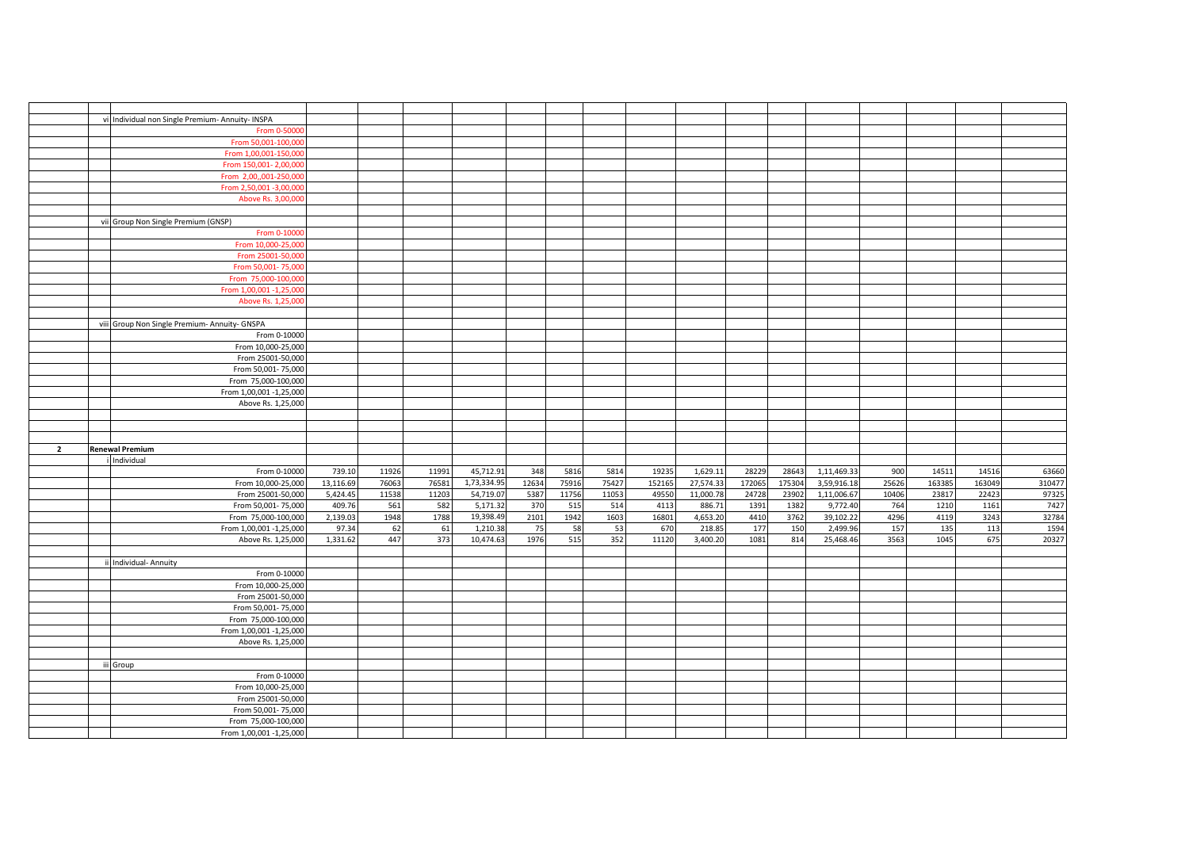|                | vi Individual non Single Premium- Annuity- INSPA |           |       |       |             |       |       |       |        |           |        |        |             |       |        |        |        |
|----------------|--------------------------------------------------|-----------|-------|-------|-------------|-------|-------|-------|--------|-----------|--------|--------|-------------|-------|--------|--------|--------|
|                | From 0-50000                                     |           |       |       |             |       |       |       |        |           |        |        |             |       |        |        |        |
|                | From 50,001-100,00                               |           |       |       |             |       |       |       |        |           |        |        |             |       |        |        |        |
|                | From 1,00,001-150,000                            |           |       |       |             |       |       |       |        |           |        |        |             |       |        |        |        |
|                | From 150,001-2,00,000                            |           |       |       |             |       |       |       |        |           |        |        |             |       |        |        |        |
|                |                                                  |           |       |       |             |       |       |       |        |           |        |        |             |       |        |        |        |
|                | From 2,00,,001-250,000                           |           |       |       |             |       |       |       |        |           |        |        |             |       |        |        |        |
|                | From 2,50,001 -3,00,000                          |           |       |       |             |       |       |       |        |           |        |        |             |       |        |        |        |
|                | Above Rs. 3,00,000                               |           |       |       |             |       |       |       |        |           |        |        |             |       |        |        |        |
|                |                                                  |           |       |       |             |       |       |       |        |           |        |        |             |       |        |        |        |
|                | vii Group Non Single Premium (GNSP)              |           |       |       |             |       |       |       |        |           |        |        |             |       |        |        |        |
|                |                                                  |           |       |       |             |       |       |       |        |           |        |        |             |       |        |        |        |
|                | From 0-1000                                      |           |       |       |             |       |       |       |        |           |        |        |             |       |        |        |        |
|                | From 10,000-25,000                               |           |       |       |             |       |       |       |        |           |        |        |             |       |        |        |        |
|                | From 25001-50,000                                |           |       |       |             |       |       |       |        |           |        |        |             |       |        |        |        |
|                | From 50,001-75,000                               |           |       |       |             |       |       |       |        |           |        |        |             |       |        |        |        |
|                | From 75,000-100,000                              |           |       |       |             |       |       |       |        |           |        |        |             |       |        |        |        |
|                | From 1,00,001 -1,25,000                          |           |       |       |             |       |       |       |        |           |        |        |             |       |        |        |        |
|                |                                                  |           |       |       |             |       |       |       |        |           |        |        |             |       |        |        |        |
|                | Above Rs. 1,25,000                               |           |       |       |             |       |       |       |        |           |        |        |             |       |        |        |        |
|                |                                                  |           |       |       |             |       |       |       |        |           |        |        |             |       |        |        |        |
|                | viii Group Non Single Premium- Annuity- GNSPA    |           |       |       |             |       |       |       |        |           |        |        |             |       |        |        |        |
|                | From 0-10000                                     |           |       |       |             |       |       |       |        |           |        |        |             |       |        |        |        |
|                | From 10,000-25,000                               |           |       |       |             |       |       |       |        |           |        |        |             |       |        |        |        |
|                | From 25001-50,000                                |           |       |       |             |       |       |       |        |           |        |        |             |       |        |        |        |
|                |                                                  |           |       |       |             |       |       |       |        |           |        |        |             |       |        |        |        |
|                | From 50,001-75,000                               |           |       |       |             |       |       |       |        |           |        |        |             |       |        |        |        |
|                | From 75,000-100,000                              |           |       |       |             |       |       |       |        |           |        |        |             |       |        |        |        |
|                | From 1,00,001 -1,25,000                          |           |       |       |             |       |       |       |        |           |        |        |             |       |        |        |        |
|                | Above Rs. 1,25,000                               |           |       |       |             |       |       |       |        |           |        |        |             |       |        |        |        |
|                |                                                  |           |       |       |             |       |       |       |        |           |        |        |             |       |        |        |        |
|                |                                                  |           |       |       |             |       |       |       |        |           |        |        |             |       |        |        |        |
|                |                                                  |           |       |       |             |       |       |       |        |           |        |        |             |       |        |        |        |
|                |                                                  |           |       |       |             |       |       |       |        |           |        |        |             |       |        |        |        |
|                |                                                  |           |       |       |             |       |       |       |        |           |        |        |             |       |        |        |        |
| $\overline{2}$ | <b>Renewal Premium</b>                           |           |       |       |             |       |       |       |        |           |        |        |             |       |        |        |        |
|                | <b>Individual</b>                                |           |       |       |             |       |       |       |        |           |        |        |             |       |        |        |        |
|                |                                                  |           |       |       |             |       |       |       |        |           |        |        |             |       |        |        |        |
|                | From 0-10000                                     | 739.10    | 11926 | 11991 | 45,712.91   | 348   | 5816  | 5814  | 19235  | 1,629.11  | 28229  | 28643  | 1,11,469.33 | 900   | 14511  | 14516  | 63660  |
|                | From 10,000-25,000                               | 13,116.69 | 76063 | 76581 | 1,73,334.95 | 12634 | 75916 | 75427 | 152165 | 27,574.33 | 172065 | 175304 | 3,59,916.18 | 25626 | 163385 | 163049 | 310477 |
|                | From 25001-50,000                                | 5,424.45  | 11538 | 11203 | 54,719.07   | 5387  | 11756 | 11053 | 49550  | 11,000.78 | 24728  | 23902  | 1,11,006.67 | 10406 | 23817  | 22423  | 97325  |
|                | From 50,001-75,000                               | 409.76    | 561   | 582   | 5,171.32    | 370   | 515   | 514   | 4113   | 886.71    | 1391   | 1382   | 9,772.40    | 764   | 1210   | 1161   | 7427   |
|                | From 75,000-100,000                              | 2,139.03  | 1948  | 1788  | 19,398.49   | 2101  | 1942  | 1603  | 16801  | 4,653.20  | 4410   | 3762   | 39,102.22   | 4296  | 4119   | 3243   | 32784  |
|                | From 1,00,001 -1,25,000                          | 97.34     | 62    | 61    | 1,210.38    | 75    | 58    | 53    | 670    | 218.85    | 177    | 150    | 2,499.96    | 157   | 135    | 113    | 1594   |
|                |                                                  | 1,331.62  | 447   | 373   |             | 1976  | 515   | 352   | 11120  |           | 1081   | 814    |             | 3563  | 1045   | 675    |        |
|                | Above Rs. 1,25,000                               |           |       |       | 10,474.63   |       |       |       |        | 3,400.20  |        |        | 25,468.46   |       |        |        | 20327  |
|                |                                                  |           |       |       |             |       |       |       |        |           |        |        |             |       |        |        |        |
|                | ii Individual- Annuity                           |           |       |       |             |       |       |       |        |           |        |        |             |       |        |        |        |
|                | From 0-10000                                     |           |       |       |             |       |       |       |        |           |        |        |             |       |        |        |        |
|                | From 10,000-25,000                               |           |       |       |             |       |       |       |        |           |        |        |             |       |        |        |        |
|                | From 25001-50,000                                |           |       |       |             |       |       |       |        |           |        |        |             |       |        |        |        |
|                | From 50,001-75,000                               |           |       |       |             |       |       |       |        |           |        |        |             |       |        |        |        |
|                | From 75,000-100,000                              |           |       |       |             |       |       |       |        |           |        |        |             |       |        |        |        |
|                |                                                  |           |       |       |             |       |       |       |        |           |        |        |             |       |        |        |        |
|                | From 1,00,001 -1,25,000                          |           |       |       |             |       |       |       |        |           |        |        |             |       |        |        |        |
|                | Above Rs. 1,25,000                               |           |       |       |             |       |       |       |        |           |        |        |             |       |        |        |        |
|                |                                                  |           |       |       |             |       |       |       |        |           |        |        |             |       |        |        |        |
|                | iii Group                                        |           |       |       |             |       |       |       |        |           |        |        |             |       |        |        |        |
|                | From 0-10000                                     |           |       |       |             |       |       |       |        |           |        |        |             |       |        |        |        |
|                |                                                  |           |       |       |             |       |       |       |        |           |        |        |             |       |        |        |        |
|                | From 10,000-25,000                               |           |       |       |             |       |       |       |        |           |        |        |             |       |        |        |        |
|                | From 25001-50,000                                |           |       |       |             |       |       |       |        |           |        |        |             |       |        |        |        |
|                | From 50,001-75,000                               |           |       |       |             |       |       |       |        |           |        |        |             |       |        |        |        |
|                | From 75,000-100,000<br>From 1,00,001 -1,25,000   |           |       |       |             |       |       |       |        |           |        |        |             |       |        |        |        |